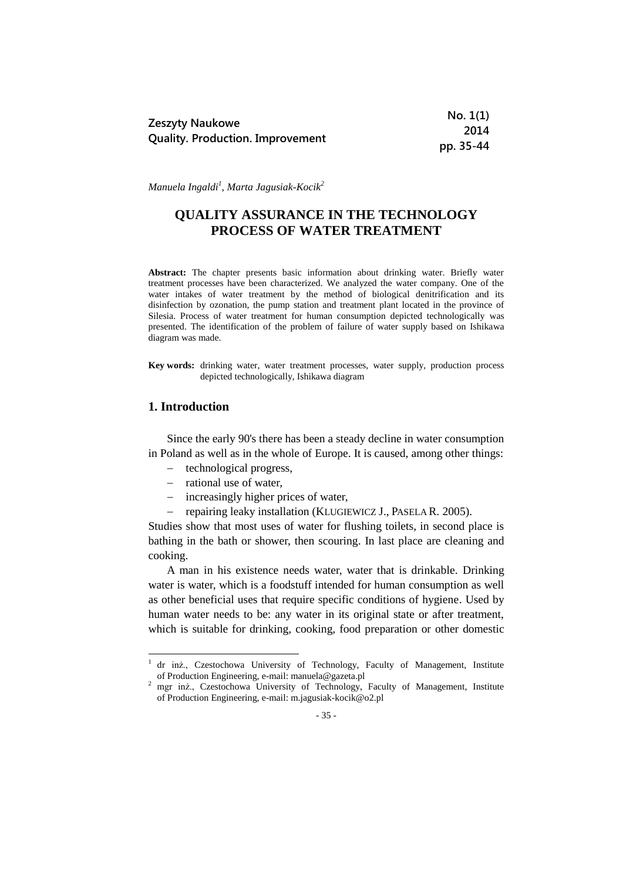| Zeszyty Naukowe                         | No. 1(1)  |
|-----------------------------------------|-----------|
|                                         | 2014      |
| <b>Quality. Production. Improvement</b> | pp. 35-44 |

*Manuela Ingaldi<sup>1</sup> , Marta Jagusiak-Kocik<sup>2</sup>*

# **QUALITY ASSURANCE IN THE TECHNOLOGY PROCESS OF WATER TREATMENT**

**Abstract:** The chapter presents basic information about drinking water. Briefly water treatment processes have been characterized. We analyzed the water company. One of the water intakes of water treatment by the method of biological denitrification and its disinfection by ozonation, the pump station and treatment plant located in the province of Silesia. Process of water treatment for human consumption depicted technologically was presented. The identification of the problem of failure of water supply based on Ishikawa diagram was made.

**Key words:** drinking water, water treatment processes, water supply, production process depicted technologically, Ishikawa diagram

#### **1. Introduction**

1

Since the early 90's there has been a steady decline in water consumption in Poland as well as in the whole of Europe. It is caused, among other things:

- technological progress,
- $-$  rational use of water,
- increasingly higher prices of water,
- repairing leaky installation (KLUGIEWICZ J., PASELA R. 2005).

Studies show that most uses of water for flushing toilets, in second place is bathing in the bath or shower, then scouring. In last place are cleaning and cooking.

A man in his existence needs water, water that is drinkable. Drinking water is water, which is a foodstuff intended for human consumption as well as other beneficial uses that require specific conditions of hygiene. Used by human water needs to be: any water in its original state or after treatment, which is suitable for drinking, cooking, food preparation or other domestic

<sup>1</sup> dr inż., Czestochowa University of Technology, Faculty of Management, Institute of Production Engineering, e-mail: manuela@gazeta.pl

<sup>&</sup>lt;sup>2</sup> mgr inż., Czestochowa University of Technology, Faculty of Management, Institute of Production Engineering, e-mail: m.jagusiak-kocik@o2.pl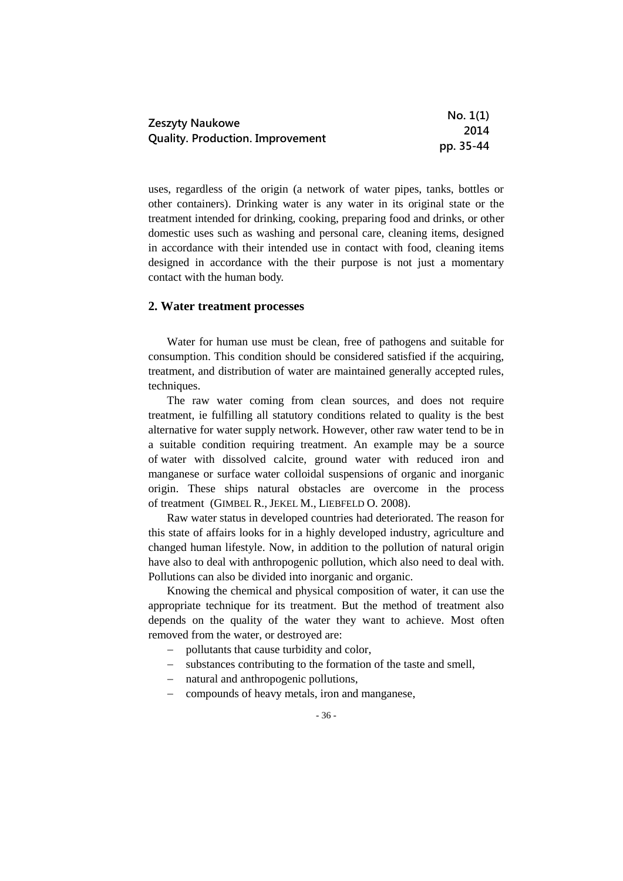|                                         | No. 1(1)  |
|-----------------------------------------|-----------|
| Zeszyty Naukowe                         | 2014      |
| <b>Quality. Production. Improvement</b> | pp. 35-44 |

uses, regardless of the origin (a network of water pipes, tanks, bottles or other containers). Drinking water is any water in its original state or the treatment intended for drinking, cooking, preparing food and drinks, or other domestic uses such as washing and personal care, cleaning items, designed in accordance with their intended use in contact with food, cleaning items designed in accordance with the their purpose is not just a momentary contact with the human body.

#### **2. Water treatment processes**

Water for human use must be clean, free of pathogens and suitable for consumption. This condition should be considered satisfied if the acquiring, treatment, and distribution of water are maintained generally accepted rules, techniques.

The raw water coming from clean sources, and does not require treatment, ie fulfilling all statutory conditions related to quality is the best alternative for water supply network. However, other raw water tend to be in a suitable condition requiring treatment. An example may be a source of water with dissolved calcite, ground water with reduced iron and manganese or surface water colloidal suspensions of organic and inorganic origin. These ships natural obstacles are overcome in the process of treatment (GIMBEL R., JEKEL M., LIEBFELD O. 2008).

Raw water status in developed countries had deteriorated. The reason for this state of affairs looks for in a highly developed industry, agriculture and changed human lifestyle. Now, in addition to the pollution of natural origin have also to deal with anthropogenic pollution, which also need to deal with. Pollutions can also be divided into inorganic and organic.

Knowing the chemical and physical composition of water, it can use the appropriate technique for its treatment. But the method of treatment also depends on the quality of the water they want to achieve. Most often removed from the water, or destroyed are:

- pollutants that cause turbidity and color,
- substances contributing to the formation of the taste and smell,
- natural and anthropogenic pollutions,
- compounds of heavy metals, iron and manganese,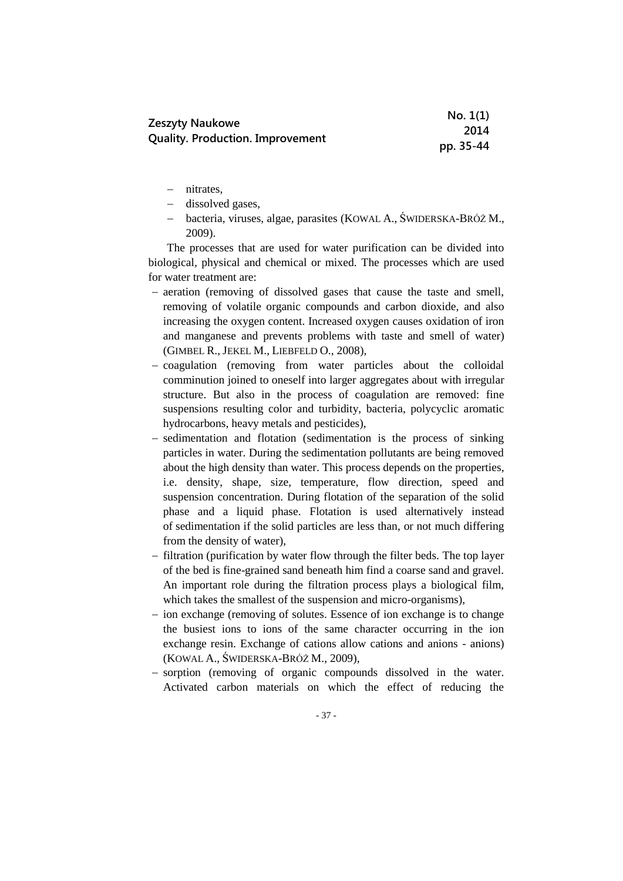|                                         | No. 1(1)  |
|-----------------------------------------|-----------|
| Zeszyty Naukowe                         | 2014      |
| <b>Quality. Production. Improvement</b> | pp. 35-44 |

- nitrates,
- dissolved gases,
- bacteria, viruses, algae, parasites (KOWAL A., ŚWIDERSKA-BRÓŻ M., 2009).

The processes that are used for water purification can be divided into biological, physical and chemical or mixed. The processes which are used for water treatment are:

- aeration (removing of dissolved gases that cause the taste and smell, removing of volatile organic compounds and carbon dioxide, and also increasing the oxygen content. Increased oxygen causes oxidation of iron and manganese and prevents problems with taste and smell of water) (GIMBEL R., JEKEL M., LIEBFELD O., 2008),
- coagulation (removing from water particles about the colloidal comminution joined to oneself into larger aggregates about with irregular structure. But also in the process of coagulation are removed: fine suspensions resulting color and turbidity, bacteria, polycyclic aromatic hydrocarbons, heavy metals and pesticides),
- sedimentation and flotation (sedimentation is the process of sinking particles in water. During the sedimentation pollutants are being removed about the high density than water. This process depends on the properties, i.e. density, shape, size, temperature, flow direction, speed and suspension concentration. During flotation of the separation of the solid phase and a liquid phase. Flotation is used alternatively instead of sedimentation if the solid particles are less than, or not much differing from the density of water),
- filtration (purification by water flow through the filter beds. The top layer of the bed is fine-grained sand beneath him find a coarse sand and gravel. An important role during the filtration process plays a biological film, which takes the smallest of the suspension and micro-organisms),
- ion exchange (removing of solutes. Essence of ion exchange is to change the busiest ions to ions of the same character occurring in the ion exchange resin. Exchange of cations allow cations and anions - anions) (KOWAL A., ŚWIDERSKA-BRÓŻ M., 2009),
- sorption (removing of organic compounds dissolved in the water. Activated carbon materials on which the effect of reducing the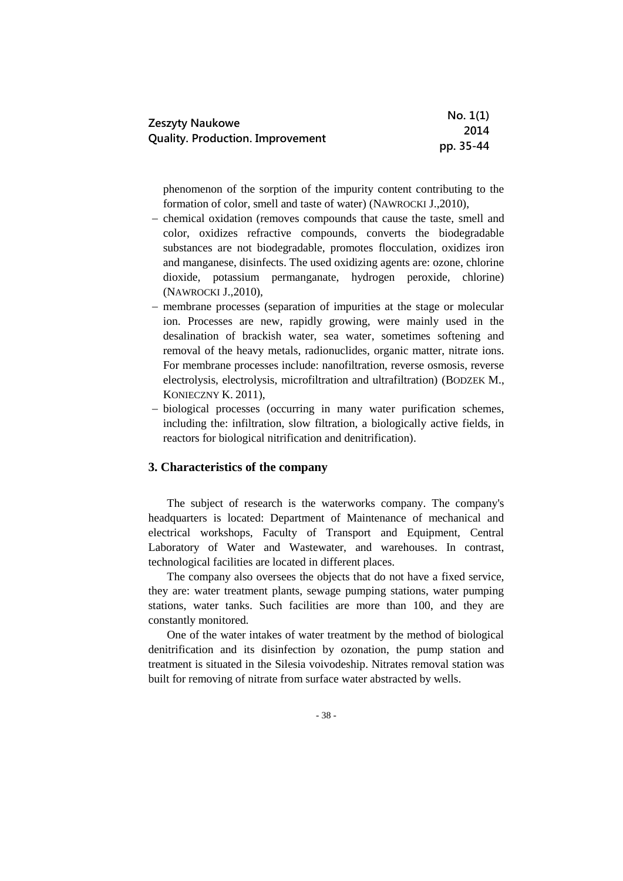|                                                                   | No. 1(1)  |
|-------------------------------------------------------------------|-----------|
| <b>Zeszyty Naukowe</b><br><b>Quality. Production. Improvement</b> | 2014      |
|                                                                   | pp. 35-44 |

phenomenon of the sorption of the impurity content contributing to the formation of color, smell and taste of water) (NAWROCKI J.,2010),

- chemical oxidation (removes compounds that cause the taste, smell and color, oxidizes refractive compounds, converts the biodegradable substances are not biodegradable, promotes flocculation, oxidizes iron and manganese, disinfects. The used oxidizing agents are: ozone, chlorine dioxide, potassium permanganate, hydrogen peroxide, chlorine) (NAWROCKI J.,2010),
- membrane processes (separation of impurities at the stage or molecular ion. Processes are new, rapidly growing, were mainly used in the desalination of brackish water, sea water, sometimes softening and removal of the heavy metals, radionuclides, organic matter, nitrate ions. For membrane processes include: nanofiltration, reverse osmosis, reverse electrolysis, electrolysis, microfiltration and ultrafiltration) (BODZEK M., KONIECZNY K. 2011),
- biological processes (occurring in many water purification schemes, including the: infiltration, slow filtration, a biologically active fields, in reactors for biological nitrification and denitrification).

#### **3. Characteristics of the company**

The subject of research is the waterworks company. The company's headquarters is located: Department of Maintenance of mechanical and electrical workshops, Faculty of Transport and Equipment, Central Laboratory of Water and Wastewater, and warehouses. In contrast, technological facilities are located in different places.

The company also oversees the objects that do not have a fixed service, they are: water treatment plants, sewage pumping stations, water pumping stations, water tanks. Such facilities are more than 100, and they are constantly monitored.

One of the water intakes of water treatment by the method of biological denitrification and its disinfection by ozonation, the pump station and treatment is situated in the Silesia voivodeship. Nitrates removal station was built for removing of nitrate from surface water abstracted by wells.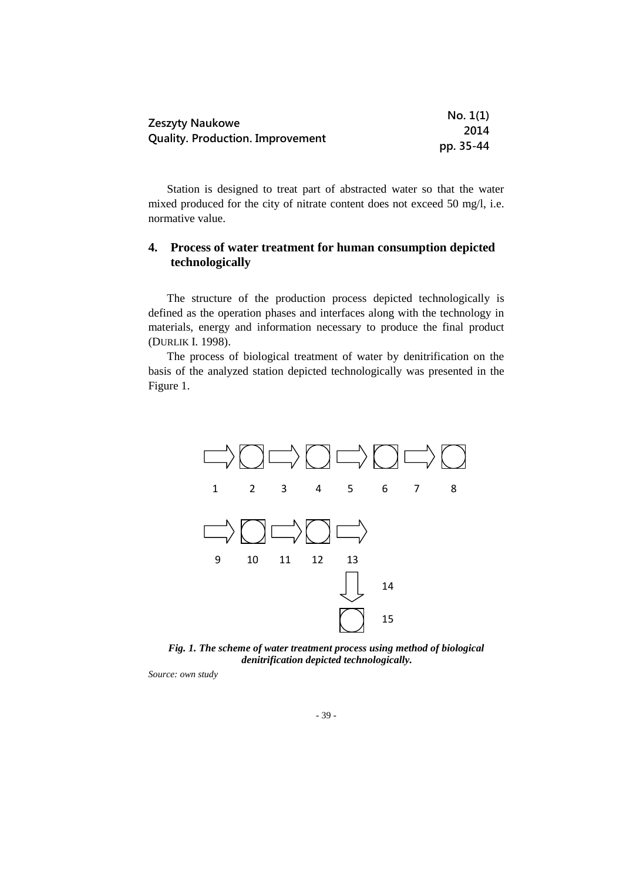| Zeszyty Naukowe                         | No. 1(1)  |
|-----------------------------------------|-----------|
|                                         | 2014      |
| <b>Quality. Production. Improvement</b> | pp. 35-44 |

Station is designed to treat part of abstracted water so that the water mixed produced for the city of nitrate content does not exceed 50 mg/l, i.e. normative value.

## **4. Process of water treatment for human consumption depicted technologically**

The structure of the production process depicted technologically is defined as the operation phases and interfaces along with the technology in materials, energy and information necessary to produce the final product (DURLIK I. 1998).

The process of biological treatment of water by denitrification on the basis of the analyzed station depicted technologically was presented in the Figure 1.



*Fig. 1. The scheme of water treatment process using method of biological denitrification depicted technologically.*

*Source: own study*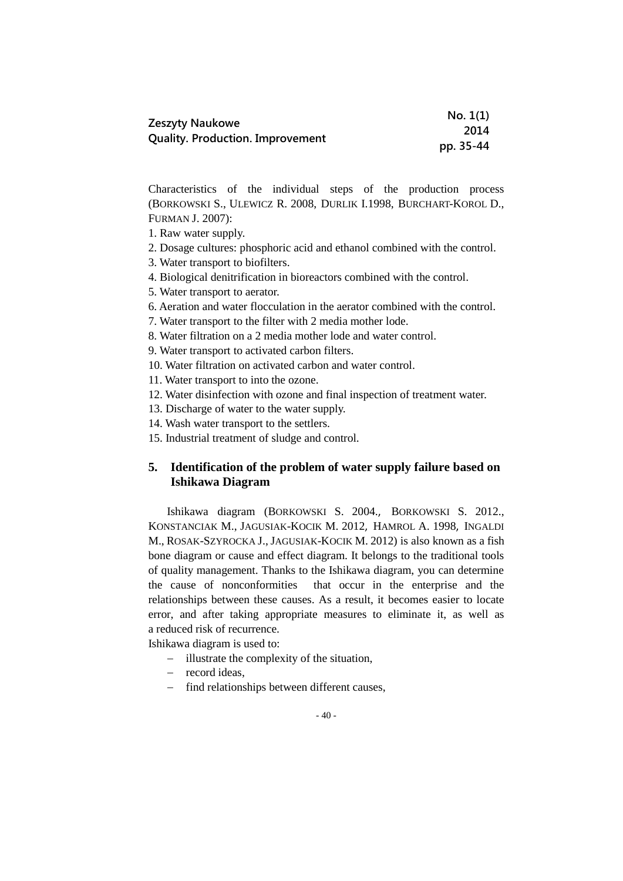| Zeszyty Naukowe                         | No. 1(1)  |
|-----------------------------------------|-----------|
|                                         | 2014      |
| <b>Quality. Production. Improvement</b> | pp. 35-44 |

Characteristics of the individual steps of the production process (BORKOWSKI S., ULEWICZ R. 2008, DURLIK I.1998, BURCHART-KOROL D., FURMAN J. 2007):

1. Raw water supply.

- 2. Dosage cultures: phosphoric acid and ethanol combined with the control.
- 3. Water transport to biofilters.
- 4. Biological denitrification in bioreactors combined with the control.
- 5. Water transport to aerator.
- 6. Aeration and water flocculation in the aerator combined with the control.
- 7. Water transport to the filter with 2 media mother lode.
- 8. Water filtration on a 2 media mother lode and water control.

9. Water transport to activated carbon filters.

10. Water filtration on activated carbon and water control.

11. Water transport to into the ozone.

- 12. Water disinfection with ozone and final inspection of treatment water.
- 13. Discharge of water to the water supply.
- 14. Wash water transport to the settlers.
- 15. Industrial treatment of sludge and control.

### **5. Identification of the problem of water supply failure based on Ishikawa Diagram**

Ishikawa diagram (BORKOWSKI S. 2004., BORKOWSKI S. 2012., KONSTANCIAK M., JAGUSIAK-KOCIK M. 2012, HAMROL A. 1998, INGALDI M., ROSAK-SZYROCKA J., JAGUSIAK-KOCIK M. 2012) is also known as a fish bone diagram or cause and effect diagram. It belongs to the traditional tools of quality management. Thanks to the Ishikawa diagram, you can determine the cause of nonconformities that occur in the enterprise and the relationships between these causes. As a result, it becomes easier to locate error, and after taking appropriate measures to eliminate it, as well as a reduced risk of recurrence.

Ishikawa diagram is used to:

- illustrate the complexity of the situation,
- record ideas.
- find relationships between different causes,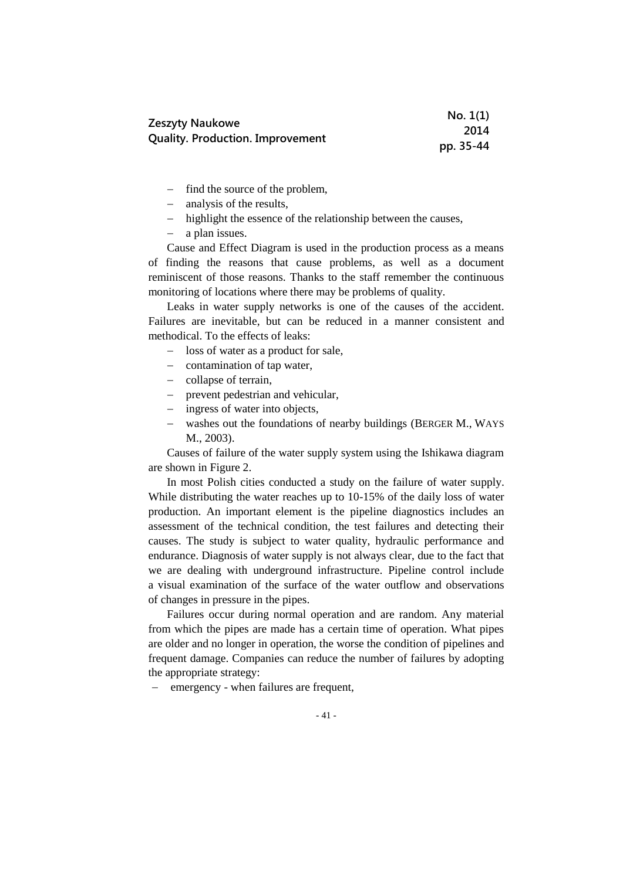|                                         | No. 1(1)  |
|-----------------------------------------|-----------|
| <b>Zeszyty Naukowe</b>                  | 2014      |
| <b>Quality. Production. Improvement</b> | pp. 35-44 |

- $\overline{\phantom{a}}$  find the source of the problem,
- analysis of the results,
- highlight the essence of the relationship between the causes,
- a plan issues.

Cause and Effect Diagram is used in the production process as a means of finding the reasons that cause problems, as well as a document reminiscent of those reasons. Thanks to the staff remember the continuous monitoring of locations where there may be problems of quality.

Leaks in water supply networks is one of the causes of the accident. Failures are inevitable, but can be reduced in a manner consistent and methodical. To the effects of leaks:

- loss of water as a product for sale,
- $-$  contamination of tap water,
- collapse of terrain,
- prevent pedestrian and vehicular,
- ingress of water into objects,
- washes out the foundations of nearby buildings (BERGER M., WAYS M., 2003).

Causes of failure of the water supply system using the Ishikawa diagram are shown in Figure 2.

In most Polish cities conducted a study on the failure of water supply. While distributing the water reaches up to 10-15% of the daily loss of water production. An important element is the pipeline diagnostics includes an assessment of the technical condition, the test failures and detecting their causes. The study is subject to water quality, hydraulic performance and endurance. Diagnosis of water supply is not always clear, due to the fact that we are dealing with underground infrastructure. Pipeline control include a visual examination of the surface of the water outflow and observations of changes in pressure in the pipes.

Failures occur during normal operation and are random. Any material from which the pipes are made has a certain time of operation. What pipes are older and no longer in operation, the worse the condition of pipelines and frequent damage. Companies can reduce the number of failures by adopting the appropriate strategy:

- emergency - when failures are frequent,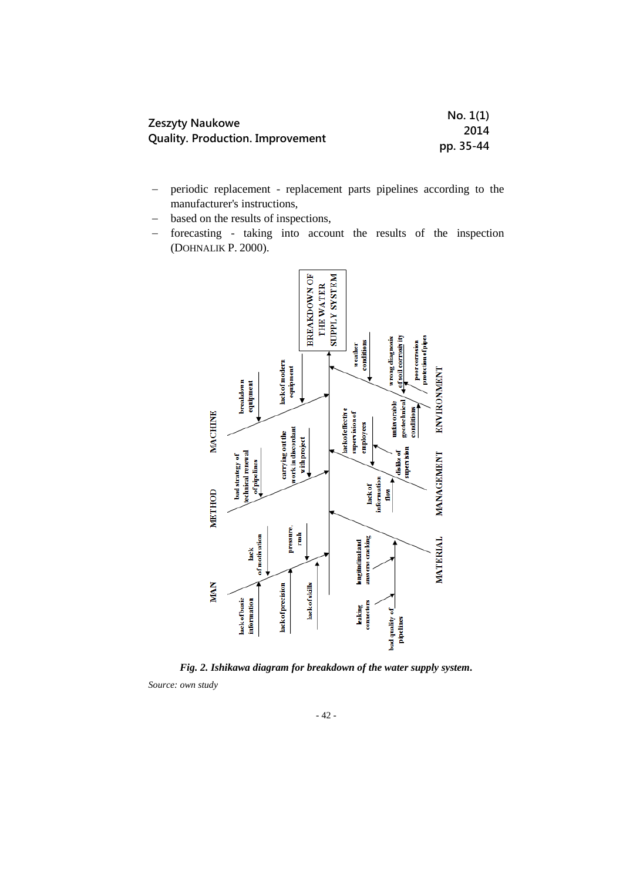| Zeszyty Naukowe                         | No. 1(1)  |
|-----------------------------------------|-----------|
|                                         | 2014      |
| <b>Quality. Production. Improvement</b> | pp. 35-44 |

- periodic replacement replacement parts pipelines according to the manufacturer's instructions,
- based on the results of inspections,
- forecasting taking into account the results of the inspection (DOHNALIK P. 2000).



*Fig. 2. Ishikawa diagram for breakdown of the water supply system. Source: own study*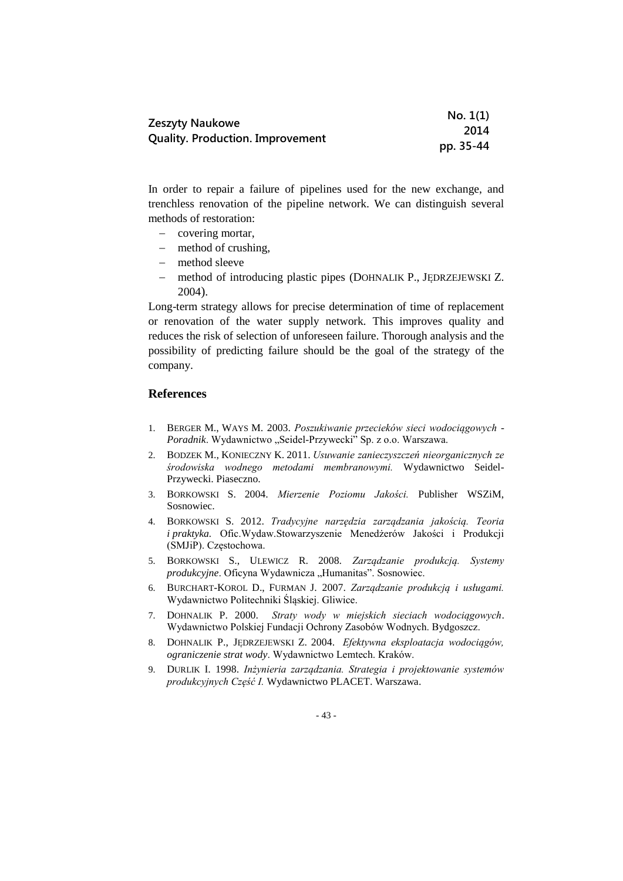|                                         | No. 1(1)  |
|-----------------------------------------|-----------|
| <b>Zeszyty Naukowe</b>                  | 2014      |
| <b>Quality. Production. Improvement</b> | pp. 35-44 |

In order to repair a failure of pipelines used for the new exchange, and trenchless renovation of the pipeline network. We can distinguish several methods of restoration:

- covering mortar,
- method of crushing,
- method sleeve
- method of introducing plastic pipes (DOHNALIK P., JĘDRZEJEWSKI Z. 2004).

Long-term strategy allows for precise determination of time of replacement or renovation of the water supply network. This improves quality and reduces the risk of selection of unforeseen failure. Thorough analysis and the possibility of predicting failure should be the goal of the strategy of the company.

### **References**

- 1. BERGER M., WAYS M. 2003. *Poszukiwanie przecieków sieci wodociągowych -* Poradnik. Wydawnictwo "Seidel-Przywecki" Sp. z o.o. Warszawa.
- 2. BODZEK M., KONIECZNY K. 2011. *Usuwanie zanieczyszczeń nieorganicznych ze środowiska wodnego metodami membranowymi.* Wydawnictwo Seidel-Przywecki. Piaseczno.
- 3. BORKOWSKI S. 2004. *Mierzenie Poziomu Jakości.* Publisher WSZiM, Sosnowiec.
- 4. BORKOWSKI S. 2012. *Tradycyjne narzędzia zarządzania jakością. Teoria i praktyka.* Ofic.Wydaw.Stowarzyszenie Menedżerów Jakości i Produkcji (SMJiP). Częstochowa.
- 5. BORKOWSKI S., ULEWICZ R. 2008. *Zarządzanie produkcją. Systemy produkcyjne*. Oficyna Wydawnicza "Humanitas". Sosnowiec.
- 6. BURCHART-KOROL D., FURMAN J. 2007. *Zarządzanie produkcją i usługami.*  Wydawnictwo Politechniki Śląskiej. Gliwice.
- 7. DOHNALIK P. 2000. *Straty wody w miejskich sieciach wodociągowych*. Wydawnictwo Polskiej Fundacji Ochrony Zasobów Wodnych. Bydgoszcz.
- 8. DOHNALIK P., JĘDRZEJEWSKI Z. 2004. *Efektywna eksploatacja wodociągów, ograniczenie strat wody*. Wydawnictwo Lemtech. Kraków.
- 9. DURLIK I. 1998. *Inżynieria zarządzania. Strategia i projektowanie systemów produkcyjnych Część I.* Wydawnictwo PLACET. Warszawa.